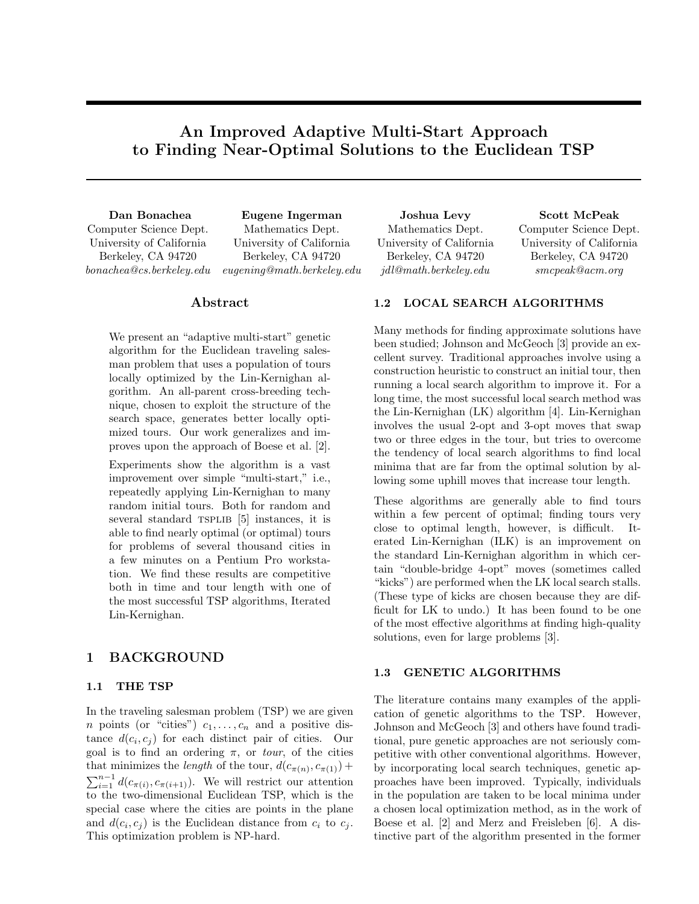# An Improved Adaptive Multi-Start Approach to Finding Near-Optimal Solutions to the Euclidean TSP

Dan Bonachea Computer Science Dept. University of California Berkeley, CA 94720 bonachea@cs.berkeley.edu

Eugene Ingerman Mathematics Dept. University of California Berkeley, CA 94720 eugening@math.berkeley.edu

## Abstract

We present an "adaptive multi-start" genetic algorithm for the Euclidean traveling salesman problem that uses a population of tours locally optimized by the Lin-Kernighan algorithm. An all-parent cross-breeding technique, chosen to exploit the structure of the search space, generates better locally optimized tours. Our work generalizes and improves upon the approach of Boese et al. [2].

Experiments show the algorithm is a vast improvement over simple "multi-start," i.e., repeatedly applying Lin-Kernighan to many random initial tours. Both for random and several standard TSPLIB [5] instances, it is able to find nearly optimal (or optimal) tours for problems of several thousand cities in a few minutes on a Pentium Pro workstation. We find these results are competitive both in time and tour length with one of the most successful TSP algorithms, Iterated Lin-Kernighan.

# 1 BACKGROUND

#### 1.1 THE TSP

In the traveling salesman problem (TSP) we are given *n* points (or "cities")  $c_1, \ldots, c_n$  and a positive distance  $d(c_i, c_j)$  for each distinct pair of cities. Our goal is to find an ordering  $\pi$ , or *tour*, of the cities that minimizes the *length* of the tour,  $d(c_{\pi(n)}, c_{\pi(1)}) +$  $\sum_{i=1}^{n-1} d(c_{\pi(i)}, c_{\pi(i+1)})$ . We will restrict our attention to the two-dimensional Euclidean TSP, which is the special case where the cities are points in the plane and  $d(c_i, c_j)$  is the Euclidean distance from  $c_i$  to  $c_j$ . This optimization problem is NP-hard.

Joshua Levy Mathematics Dept. University of California Berkeley, CA 94720 jdl@math.berkeley.edu

Scott McPeak

Computer Science Dept. University of California Berkeley, CA 94720 smcpeak@acm.org

#### 1.2 LOCAL SEARCH ALGORITHMS

Many methods for finding approximate solutions have been studied; Johnson and McGeoch [3] provide an excellent survey. Traditional approaches involve using a construction heuristic to construct an initial tour, then running a local search algorithm to improve it. For a long time, the most successful local search method was the Lin-Kernighan (LK) algorithm [4]. Lin-Kernighan involves the usual 2-opt and 3-opt moves that swap two or three edges in the tour, but tries to overcome the tendency of local search algorithms to find local minima that are far from the optimal solution by allowing some uphill moves that increase tour length.

These algorithms are generally able to find tours within a few percent of optimal; finding tours very close to optimal length, however, is difficult. Iterated Lin-Kernighan (ILK) is an improvement on the standard Lin-Kernighan algorithm in which certain "double-bridge 4-opt" moves (sometimes called "kicks") are performed when the LK local search stalls. (These type of kicks are chosen because they are difficult for LK to undo.) It has been found to be one of the most effective algorithms at finding high-quality solutions, even for large problems [3].

## 1.3 GENETIC ALGORITHMS

The literature contains many examples of the application of genetic algorithms to the TSP. However, Johnson and McGeoch [3] and others have found traditional, pure genetic approaches are not seriously competitive with other conventional algorithms. However, by incorporating local search techniques, genetic approaches have been improved. Typically, individuals in the population are taken to be local minima under a chosen local optimization method, as in the work of Boese et al. [2] and Merz and Freisleben [6]. A distinctive part of the algorithm presented in the former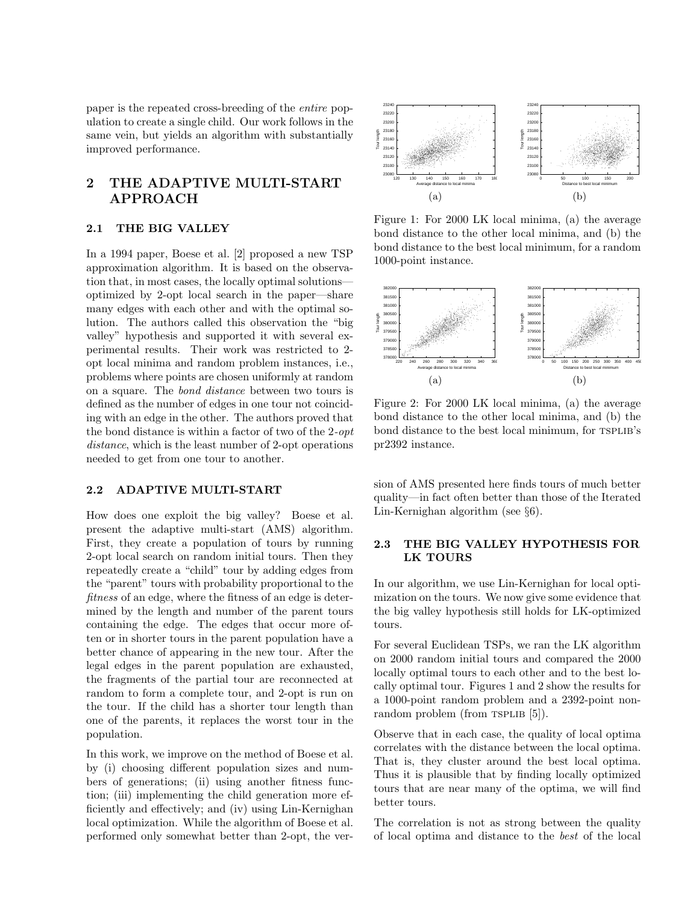paper is the repeated cross-breeding of the entire population to create a single child. Our work follows in the same vein, but yields an algorithm with substantially improved performance.

# 2 THE ADAPTIVE MULTI-START APPROACH

#### 2.1 THE BIG VALLEY

In a 1994 paper, Boese et al. [2] proposed a new TSP approximation algorithm. It is based on the observation that, in most cases, the locally optimal solutions optimized by 2-opt local search in the paper—share many edges with each other and with the optimal solution. The authors called this observation the "big valley" hypothesis and supported it with several experimental results. Their work was restricted to 2 opt local minima and random problem instances, i.e., problems where points are chosen uniformly at random on a square. The bond distance between two tours is defined as the number of edges in one tour not coinciding with an edge in the other. The authors proved that the bond distance is within a factor of two of the 2-opt distance, which is the least number of 2-opt operations needed to get from one tour to another.

## 2.2 ADAPTIVE MULTI-START

How does one exploit the big valley? Boese et al. present the adaptive multi-start (AMS) algorithm. First, they create a population of tours by running 2-opt local search on random initial tours. Then they repeatedly create a "child" tour by adding edges from the "parent" tours with probability proportional to the fitness of an edge, where the fitness of an edge is determined by the length and number of the parent tours containing the edge. The edges that occur more often or in shorter tours in the parent population have a better chance of appearing in the new tour. After the legal edges in the parent population are exhausted, the fragments of the partial tour are reconnected at random to form a complete tour, and 2-opt is run on the tour. If the child has a shorter tour length than one of the parents, it replaces the worst tour in the population.

In this work, we improve on the method of Boese et al. by (i) choosing different population sizes and numbers of generations; (ii) using another fitness function; (iii) implementing the child generation more efficiently and effectively; and (iv) using Lin-Kernighan local optimization. While the algorithm of Boese et al. performed only somewhat better than 2-opt, the ver-



Figure 1: For 2000 LK local minima, (a) the average bond distance to the other local minima, and (b) the bond distance to the best local minimum, for a random 1000-point instance.



Figure 2: For 2000 LK local minima, (a) the average bond distance to the other local minima, and (b) the bond distance to the best local minimum, for  $TSPLIB's$ pr2392 instance.

sion of AMS presented here finds tours of much better quality—in fact often better than those of the Iterated Lin-Kernighan algorithm (see §6).

## 2.3 THE BIG VALLEY HYPOTHESIS FOR LK TOURS

In our algorithm, we use Lin-Kernighan for local optimization on the tours. We now give some evidence that the big valley hypothesis still holds for LK-optimized tours.

For several Euclidean TSPs, we ran the LK algorithm on 2000 random initial tours and compared the 2000 locally optimal tours to each other and to the best locally optimal tour. Figures 1 and 2 show the results for a 1000-point random problem and a 2392-point nonrandom problem (from TSPLIB [5]).

Observe that in each case, the quality of local optima correlates with the distance between the local optima. That is, they cluster around the best local optima. Thus it is plausible that by finding locally optimized tours that are near many of the optima, we will find better tours.

The correlation is not as strong between the quality of local optima and distance to the best of the local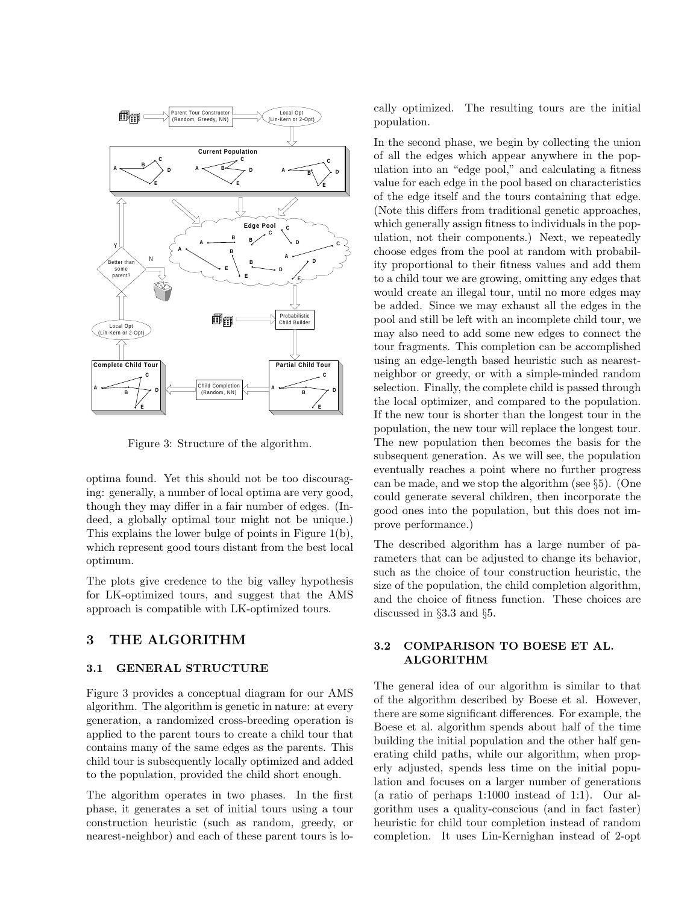

Figure 3: Structure of the algorithm.

optima found. Yet this should not be too discouraging: generally, a number of local optima are very good, though they may differ in a fair number of edges. (Indeed, a globally optimal tour might not be unique.) This explains the lower bulge of points in Figure 1(b), which represent good tours distant from the best local optimum.

The plots give credence to the big valley hypothesis for LK-optimized tours, and suggest that the AMS approach is compatible with LK-optimized tours.

# 3 THE ALGORITHM

#### 3.1 GENERAL STRUCTURE

Figure 3 provides a conceptual diagram for our AMS algorithm. The algorithm is genetic in nature: at every generation, a randomized cross-breeding operation is applied to the parent tours to create a child tour that contains many of the same edges as the parents. This child tour is subsequently locally optimized and added to the population, provided the child short enough.

The algorithm operates in two phases. In the first phase, it generates a set of initial tours using a tour construction heuristic (such as random, greedy, or nearest-neighbor) and each of these parent tours is locally optimized. The resulting tours are the initial population.

In the second phase, we begin by collecting the union of all the edges which appear anywhere in the population into an "edge pool," and calculating a fitness value for each edge in the pool based on characteristics of the edge itself and the tours containing that edge. (Note this differs from traditional genetic approaches, which generally assign fitness to individuals in the population, not their components.) Next, we repeatedly choose edges from the pool at random with probability proportional to their fitness values and add them to a child tour we are growing, omitting any edges that would create an illegal tour, until no more edges may be added. Since we may exhaust all the edges in the pool and still be left with an incomplete child tour, we may also need to add some new edges to connect the tour fragments. This completion can be accomplished using an edge-length based heuristic such as nearestneighbor or greedy, or with a simple-minded random selection. Finally, the complete child is passed through the local optimizer, and compared to the population. If the new tour is shorter than the longest tour in the population, the new tour will replace the longest tour. The new population then becomes the basis for the subsequent generation. As we will see, the population eventually reaches a point where no further progress can be made, and we stop the algorithm (see §5). (One could generate several children, then incorporate the good ones into the population, but this does not improve performance.)

The described algorithm has a large number of parameters that can be adjusted to change its behavior, such as the choice of tour construction heuristic, the size of the population, the child completion algorithm, and the choice of fitness function. These choices are discussed in §3.3 and §5.

## 3.2 COMPARISON TO BOESE ET AL. ALGORITHM

The general idea of our algorithm is similar to that of the algorithm described by Boese et al. However, there are some significant differences. For example, the Boese et al. algorithm spends about half of the time building the initial population and the other half generating child paths, while our algorithm, when properly adjusted, spends less time on the initial population and focuses on a larger number of generations (a ratio of perhaps 1:1000 instead of 1:1). Our algorithm uses a quality-conscious (and in fact faster) heuristic for child tour completion instead of random completion. It uses Lin-Kernighan instead of 2-opt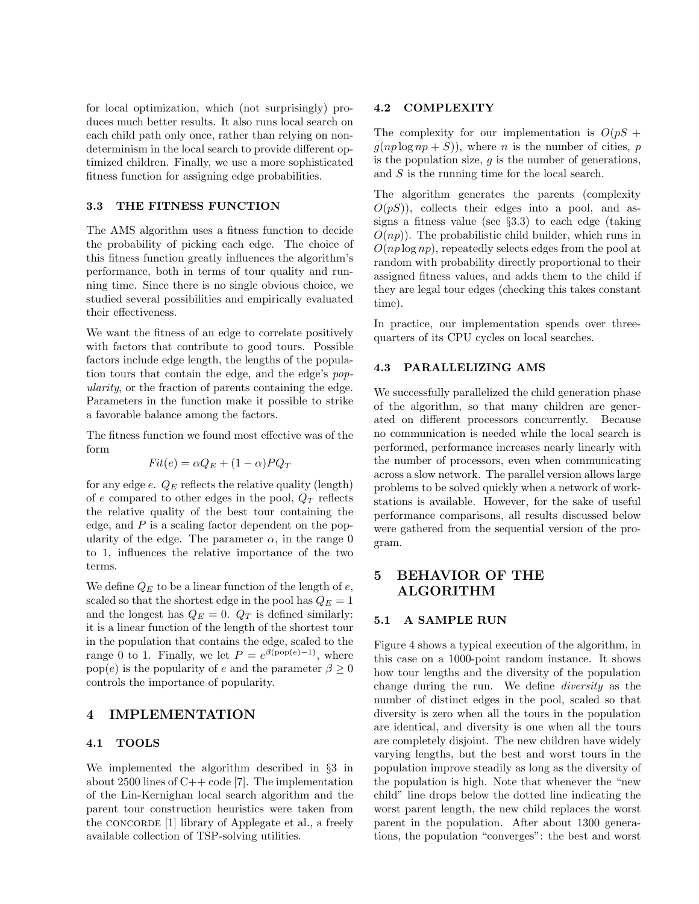for local optimization, which (not surprisingly) produces much better results. It also runs local search on each child path only once, rather than relying on nondeterminism in the local search to provide different optimized children. Finally, we use a more sophisticated fitness function for assigning edge probabilities.

## 3.3 THE FITNESS FUNCTION

The AMS algorithm uses a fitness function to decide the probability of picking each edge. The choice of this fitness function greatly influences the algorithm's performance, both in terms of tour quality and running time. Since there is no single obvious choice, we studied several possibilities and empirically evaluated their effectiveness.

We want the fitness of an edge to correlate positively with factors that contribute to good tours. Possible factors include edge length, the lengths of the population tours that contain the edge, and the edge's popularity, or the fraction of parents containing the edge. Parameters in the function make it possible to strike a favorable balance among the factors.

The fitness function we found most effective was of the form

$$
Fit(e) = \alpha Q_E + (1 - \alpha)PQ_T
$$

for any edge e.  $Q_E$  reflects the relative quality (length) of e compared to other edges in the pool,  $Q_T$  reflects the relative quality of the best tour containing the edge, and  $P$  is a scaling factor dependent on the popularity of the edge. The parameter  $\alpha$ , in the range 0 to 1, influences the relative importance of the two terms.

We define  $Q_E$  to be a linear function of the length of  $e$ , scaled so that the shortest edge in the pool has  $Q_E = 1$ and the longest has  $Q_E = 0$ .  $Q_T$  is defined similarly: it is a linear function of the length of the shortest tour in the population that contains the edge, scaled to the range 0 to 1. Finally, we let  $P = e^{\beta (pop(e)-1)}$ , where pop(e) is the popularity of e and the parameter  $\beta \geq 0$ controls the importance of popularity.

# 4 IMPLEMENTATION

## 4.1 TOOLS

We implemented the algorithm described in §3 in about 2500 lines of  $C++$  code [7]. The implementation of the Lin-Kernighan local search algorithm and the parent tour construction heuristics were taken from the CONCORDE [1] library of Applegate et al., a freely available collection of TSP-solving utilities.

#### 4.2 COMPLEXITY

The complexity for our implementation is  $O(pS +$  $q(np \log np + S)$ , where *n* is the number of cities, *p* is the population size,  $q$  is the number of generations, and S is the running time for the local search.

The algorithm generates the parents (complexity  $O(pS)$ , collects their edges into a pool, and assigns a fitness value (see §3.3) to each edge (taking  $O(np)$ ). The probabilistic child builder, which runs in  $O(np \log np)$ , repeatedly selects edges from the pool at random with probability directly proportional to their assigned fitness values, and adds them to the child if they are legal tour edges (checking this takes constant time).

In practice, our implementation spends over threequarters of its CPU cycles on local searches.

### 4.3 PARALLELIZING AMS

We successfully parallelized the child generation phase of the algorithm, so that many children are generated on different processors concurrently. Because no communication is needed while the local search is performed, performance increases nearly linearly with the number of processors, even when communicating across a slow network. The parallel version allows large problems to be solved quickly when a network of workstations is available. However, for the sake of useful performance comparisons, all results discussed below were gathered from the sequential version of the program.

# 5 BEHAVIOR OF THE ALGORITHM

#### 5.1 A SAMPLE RUN

Figure 4 shows a typical execution of the algorithm, in this case on a 1000-point random instance. It shows how tour lengths and the diversity of the population change during the run. We define diversity as the number of distinct edges in the pool, scaled so that diversity is zero when all the tours in the population are identical, and diversity is one when all the tours are completely disjoint. The new children have widely varying lengths, but the best and worst tours in the population improve steadily as long as the diversity of the population is high. Note that whenever the "new child" line drops below the dotted line indicating the worst parent length, the new child replaces the worst parent in the population. After about 1300 generations, the population "converges": the best and worst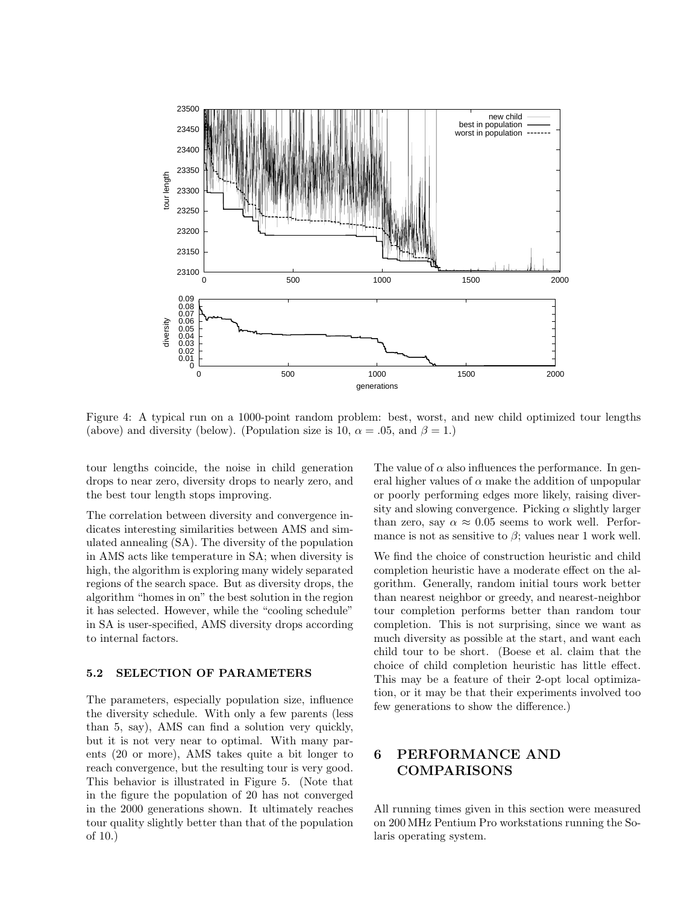

Figure 4: A typical run on a 1000-point random problem: best, worst, and new child optimized tour lengths (above) and diversity (below). (Population size is 10,  $\alpha = .05$ , and  $\beta = 1$ .)

tour lengths coincide, the noise in child generation drops to near zero, diversity drops to nearly zero, and the best tour length stops improving.

The correlation between diversity and convergence indicates interesting similarities between AMS and simulated annealing (SA). The diversity of the population in AMS acts like temperature in SA; when diversity is high, the algorithm is exploring many widely separated regions of the search space. But as diversity drops, the algorithm "homes in on" the best solution in the region it has selected. However, while the "cooling schedule" in SA is user-specified, AMS diversity drops according to internal factors.

## 5.2 SELECTION OF PARAMETERS

The parameters, especially population size, influence the diversity schedule. With only a few parents (less than 5, say), AMS can find a solution very quickly, but it is not very near to optimal. With many parents (20 or more), AMS takes quite a bit longer to reach convergence, but the resulting tour is very good. This behavior is illustrated in Figure 5. (Note that in the figure the population of 20 has not converged in the 2000 generations shown. It ultimately reaches tour quality slightly better than that of the population of 10.)

The value of  $\alpha$  also influences the performance. In general higher values of  $\alpha$  make the addition of unpopular or poorly performing edges more likely, raising diversity and slowing convergence. Picking  $\alpha$  slightly larger than zero, say  $\alpha \approx 0.05$  seems to work well. Performance is not as sensitive to  $\beta$ ; values near 1 work well.

We find the choice of construction heuristic and child completion heuristic have a moderate effect on the algorithm. Generally, random initial tours work better than nearest neighbor or greedy, and nearest-neighbor tour completion performs better than random tour completion. This is not surprising, since we want as much diversity as possible at the start, and want each child tour to be short. (Boese et al. claim that the choice of child completion heuristic has little effect. This may be a feature of their 2-opt local optimization, or it may be that their experiments involved too few generations to show the difference.)

# 6 PERFORMANCE AND COMPARISONS

All running times given in this section were measured on 200 MHz Pentium Pro workstations running the Solaris operating system.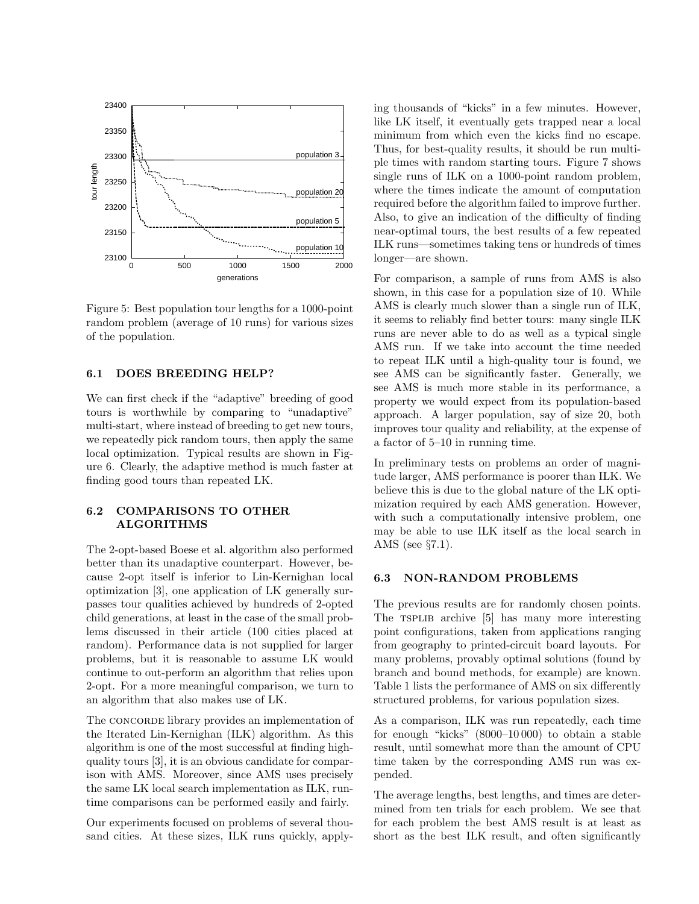

Figure 5: Best population tour lengths for a 1000-point random problem (average of 10 runs) for various sizes of the population.

## 6.1 DOES BREEDING HELP?

We can first check if the "adaptive" breeding of good tours is worthwhile by comparing to "unadaptive" multi-start, where instead of breeding to get new tours, we repeatedly pick random tours, then apply the same local optimization. Typical results are shown in Figure 6. Clearly, the adaptive method is much faster at finding good tours than repeated LK.

# 6.2 COMPARISONS TO OTHER ALGORITHMS

The 2-opt-based Boese et al. algorithm also performed better than its unadaptive counterpart. However, because 2-opt itself is inferior to Lin-Kernighan local optimization [3], one application of LK generally surpasses tour qualities achieved by hundreds of 2-opted child generations, at least in the case of the small problems discussed in their article (100 cities placed at random). Performance data is not supplied for larger problems, but it is reasonable to assume LK would continue to out-perform an algorithm that relies upon 2-opt. For a more meaningful comparison, we turn to an algorithm that also makes use of LK.

The CONCORDE library provides an implementation of the Iterated Lin-Kernighan (ILK) algorithm. As this algorithm is one of the most successful at finding highquality tours [3], it is an obvious candidate for comparison with AMS. Moreover, since AMS uses precisely the same LK local search implementation as ILK, runtime comparisons can be performed easily and fairly.

Our experiments focused on problems of several thousand cities. At these sizes, ILK runs quickly, apply-

ing thousands of "kicks" in a few minutes. However, like LK itself, it eventually gets trapped near a local minimum from which even the kicks find no escape. Thus, for best-quality results, it should be run multiple times with random starting tours. Figure 7 shows single runs of ILK on a 1000-point random problem, where the times indicate the amount of computation required before the algorithm failed to improve further. Also, to give an indication of the difficulty of finding near-optimal tours, the best results of a few repeated ILK runs—sometimes taking tens or hundreds of times longer—are shown.

For comparison, a sample of runs from AMS is also shown, in this case for a population size of 10. While AMS is clearly much slower than a single run of ILK, it seems to reliably find better tours: many single ILK runs are never able to do as well as a typical single AMS run. If we take into account the time needed to repeat ILK until a high-quality tour is found, we see AMS can be significantly faster. Generally, we see AMS is much more stable in its performance, a property we would expect from its population-based approach. A larger population, say of size 20, both improves tour quality and reliability, at the expense of a factor of 5–10 in running time.

In preliminary tests on problems an order of magnitude larger, AMS performance is poorer than ILK. We believe this is due to the global nature of the LK optimization required by each AMS generation. However, with such a computationally intensive problem, one may be able to use ILK itself as the local search in AMS (see §7.1).

#### 6.3 NON-RANDOM PROBLEMS

The previous results are for randomly chosen points. The TSPLIB archive [5] has many more interesting point configurations, taken from applications ranging from geography to printed-circuit board layouts. For many problems, provably optimal solutions (found by branch and bound methods, for example) are known. Table 1 lists the performance of AMS on six differently structured problems, for various population sizes.

As a comparison, ILK was run repeatedly, each time for enough "kicks" (8000–10 000) to obtain a stable result, until somewhat more than the amount of CPU time taken by the corresponding AMS run was expended.

The average lengths, best lengths, and times are determined from ten trials for each problem. We see that for each problem the best AMS result is at least as short as the best ILK result, and often significantly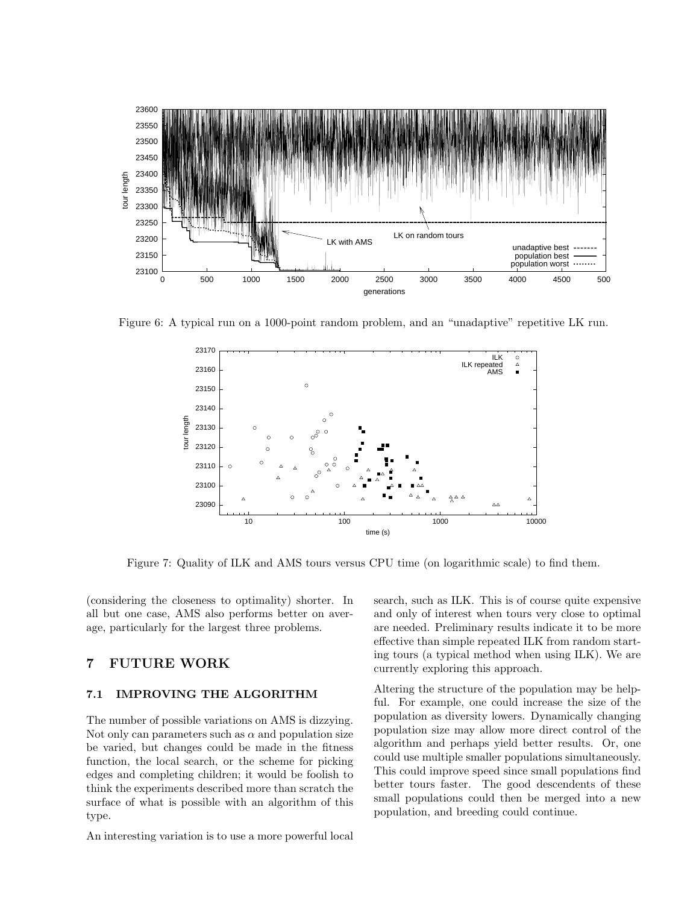

Figure 6: A typical run on a 1000-point random problem, and an "unadaptive" repetitive LK run.



Figure 7: Quality of ILK and AMS tours versus CPU time (on logarithmic scale) to find them.

(considering the closeness to optimality) shorter. In all but one case, AMS also performs better on average, particularly for the largest three problems.

## 7 FUTURE WORK

## 7.1 IMPROVING THE ALGORITHM

The number of possible variations on AMS is dizzying. Not only can parameters such as  $\alpha$  and population size be varied, but changes could be made in the fitness function, the local search, or the scheme for picking edges and completing children; it would be foolish to think the experiments described more than scratch the surface of what is possible with an algorithm of this type.

An interesting variation is to use a more powerful local

search, such as ILK. This is of course quite expensive and only of interest when tours very close to optimal are needed. Preliminary results indicate it to be more effective than simple repeated ILK from random starting tours (a typical method when using ILK). We are currently exploring this approach.

Altering the structure of the population may be helpful. For example, one could increase the size of the population as diversity lowers. Dynamically changing population size may allow more direct control of the algorithm and perhaps yield better results. Or, one could use multiple smaller populations simultaneously. This could improve speed since small populations find better tours faster. The good descendents of these small populations could then be merged into a new population, and breeding could continue.